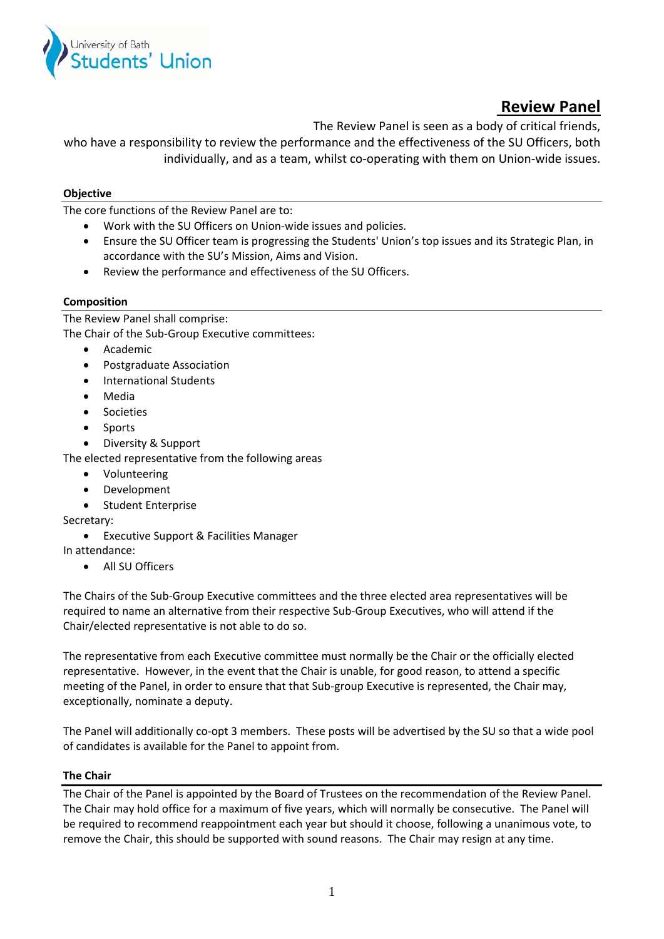

# **Review Panel**

The Review Panel is seen as a body of critical friends,

who have a responsibility to review the performance and the effectiveness of the SU Officers, both individually, and as a team, whilst co‐operating with them on Union‐wide issues.

## **Objective**

The core functions of the Review Panel are to:

- Work with the SU Officers on Union‐wide issues and policies.
- Ensure the SU Officer team is progressing the Students' Union's top issues and its Strategic Plan, in accordance with the SU's Mission, Aims and Vision.
- Review the performance and effectiveness of the SU Officers.

### **Composition**

The Review Panel shall comprise: The Chair of the Sub‐Group Executive committees:

- Academic
- Postgraduate Association
- International Students
- Media
- **•** Societies
- Sports
- Diversity & Support

The elected representative from the following areas

- Volunteering
- Development
- Student Enterprise

### Secretary:

Executive Support & Facilities Manager

In attendance:

All SU Officers

The Chairs of the Sub‐Group Executive committees and the three elected area representatives will be required to name an alternative from their respective Sub‐Group Executives, who will attend if the Chair/elected representative is not able to do so.

The representative from each Executive committee must normally be the Chair or the officially elected representative. However, in the event that the Chair is unable, for good reason, to attend a specific meeting of the Panel, in order to ensure that that Sub-group Executive is represented, the Chair may, exceptionally, nominate a deputy.

The Panel will additionally co-opt 3 members. These posts will be advertised by the SU so that a wide pool of candidates is available for the Panel to appoint from.

### **The Chair**

The Chair of the Panel is appointed by the Board of Trustees on the recommendation of the Review Panel. The Chair may hold office for a maximum of five years, which will normally be consecutive. The Panel will be required to recommend reappointment each year but should it choose, following a unanimous vote, to remove the Chair, this should be supported with sound reasons. The Chair may resign at any time.